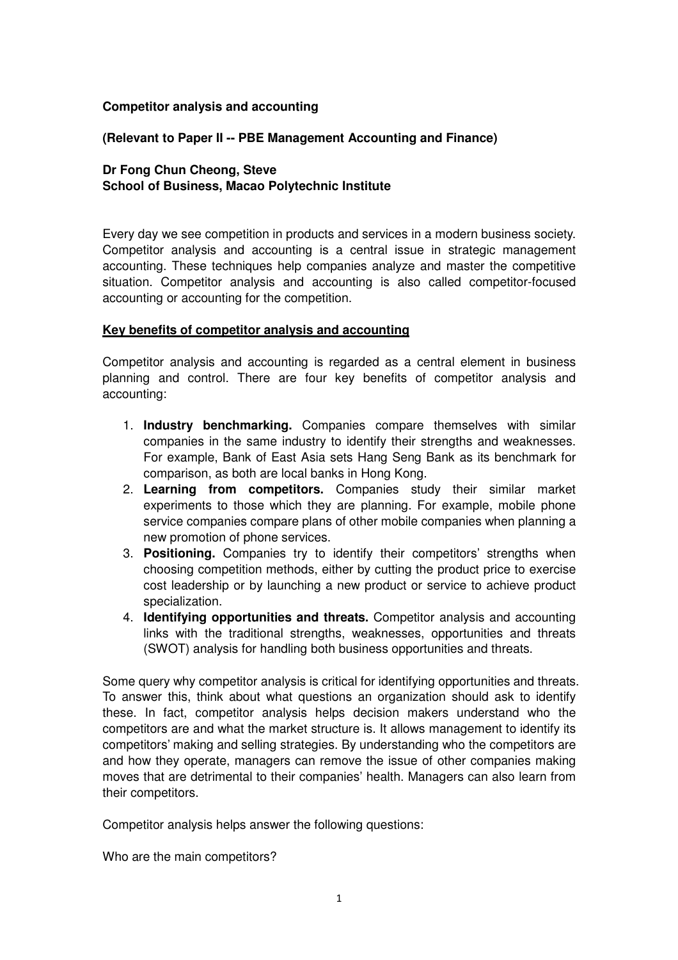## **Competitor analysis and accounting**

## **(Relevant to Paper II -- PBE Management Accounting and Finance)**

# **Dr Fong Chun Cheong, Steve School of Business, Macao Polytechnic Institute**

Every day we see competition in products and services in a modern business society. Competitor analysis and accounting is a central issue in strategic management accounting. These techniques help companies analyze and master the competitive situation. Competitor analysis and accounting is also called competitor-focused accounting or accounting for the competition.

### **Key benefits of competitor analysis and accounting**

Competitor analysis and accounting is regarded as a central element in business planning and control. There are four key benefits of competitor analysis and accounting:

- 1. **Industry benchmarking.** Companies compare themselves with similar companies in the same industry to identify their strengths and weaknesses. For example, Bank of East Asia sets Hang Seng Bank as its benchmark for comparison, as both are local banks in Hong Kong.
- 2. **Learning from competitors.** Companies study their similar market experiments to those which they are planning. For example, mobile phone service companies compare plans of other mobile companies when planning a new promotion of phone services.
- 3. **Positioning.** Companies try to identify their competitors' strengths when choosing competition methods, either by cutting the product price to exercise cost leadership or by launching a new product or service to achieve product specialization.
- 4. **Identifying opportunities and threats.** Competitor analysis and accounting links with the traditional strengths, weaknesses, opportunities and threats (SWOT) analysis for handling both business opportunities and threats.

Some query why competitor analysis is critical for identifying opportunities and threats. To answer this, think about what questions an organization should ask to identify these. In fact, competitor analysis helps decision makers understand who the competitors are and what the market structure is. It allows management to identify its competitors' making and selling strategies. By understanding who the competitors are and how they operate, managers can remove the issue of other companies making moves that are detrimental to their companies' health. Managers can also learn from their competitors.

Competitor analysis helps answer the following questions:

Who are the main competitors?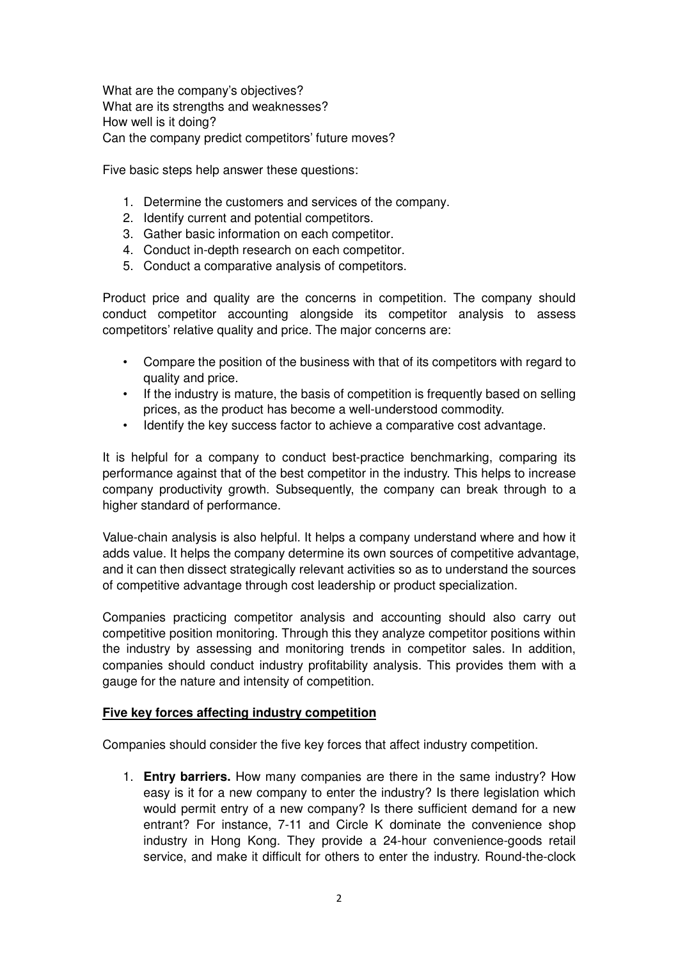What are the company's objectives? What are its strengths and weaknesses? How well is it doing? Can the company predict competitors' future moves?

Five basic steps help answer these questions:

- 1. Determine the customers and services of the company.
- 2. Identify current and potential competitors.
- 3. Gather basic information on each competitor.
- 4. Conduct in-depth research on each competitor.
- 5. Conduct a comparative analysis of competitors.

Product price and quality are the concerns in competition. The company should conduct competitor accounting alongside its competitor analysis to assess competitors' relative quality and price. The major concerns are:

- Compare the position of the business with that of its competitors with regard to quality and price.
- If the industry is mature, the basis of competition is frequently based on selling prices, as the product has become a well-understood commodity.
- Identify the key success factor to achieve a comparative cost advantage.

It is helpful for a company to conduct best-practice benchmarking, comparing its performance against that of the best competitor in the industry. This helps to increase company productivity growth. Subsequently, the company can break through to a higher standard of performance.

Value-chain analysis is also helpful. It helps a company understand where and how it adds value. It helps the company determine its own sources of competitive advantage, and it can then dissect strategically relevant activities so as to understand the sources of competitive advantage through cost leadership or product specialization.

Companies practicing competitor analysis and accounting should also carry out competitive position monitoring. Through this they analyze competitor positions within the industry by assessing and monitoring trends in competitor sales. In addition, companies should conduct industry profitability analysis. This provides them with a gauge for the nature and intensity of competition.

### **Five key forces affecting industry competition**

Companies should consider the five key forces that affect industry competition.

1. **Entry barriers.** How many companies are there in the same industry? How easy is it for a new company to enter the industry? Is there legislation which would permit entry of a new company? Is there sufficient demand for a new entrant? For instance, 7-11 and Circle K dominate the convenience shop industry in Hong Kong. They provide a 24-hour convenience-goods retail service, and make it difficult for others to enter the industry. Round-the-clock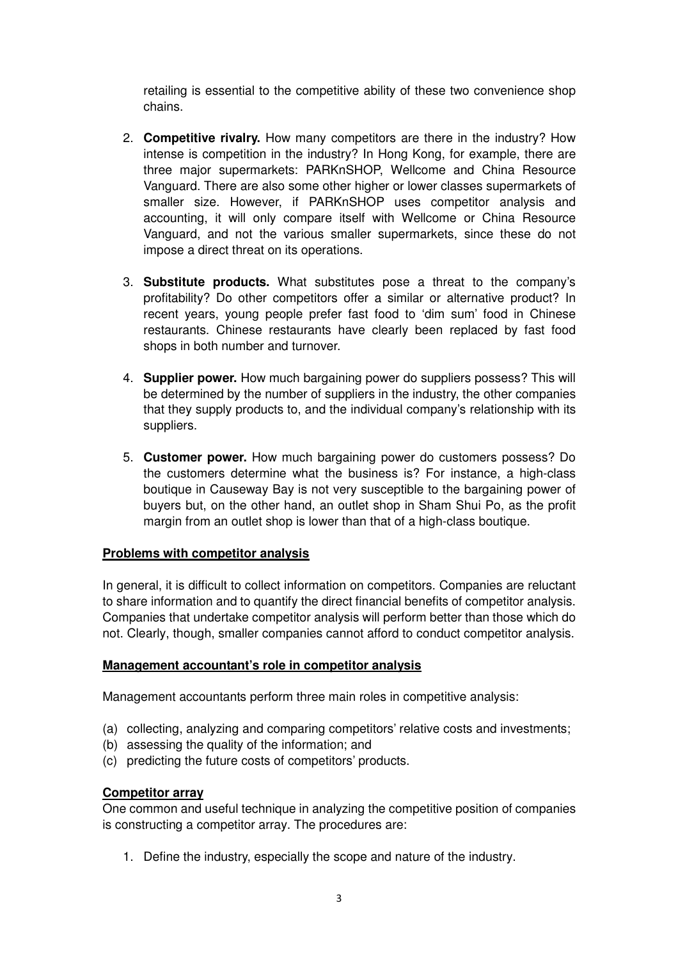retailing is essential to the competitive ability of these two convenience shop chains.

- 2. **Competitive rivalry.** How many competitors are there in the industry? How intense is competition in the industry? In Hong Kong, for example, there are three major supermarkets: PARKnSHOP, Wellcome and China Resource Vanguard. There are also some other higher or lower classes supermarkets of smaller size. However, if PARKnSHOP uses competitor analysis and accounting, it will only compare itself with Wellcome or China Resource Vanguard, and not the various smaller supermarkets, since these do not impose a direct threat on its operations.
- 3. **Substitute products.** What substitutes pose a threat to the company's profitability? Do other competitors offer a similar or alternative product? In recent years, young people prefer fast food to 'dim sum' food in Chinese restaurants. Chinese restaurants have clearly been replaced by fast food shops in both number and turnover.
- 4. **Supplier power.** How much bargaining power do suppliers possess? This will be determined by the number of suppliers in the industry, the other companies that they supply products to, and the individual company's relationship with its suppliers.
- 5. **Customer power.** How much bargaining power do customers possess? Do the customers determine what the business is? For instance, a high-class boutique in Causeway Bay is not very susceptible to the bargaining power of buyers but, on the other hand, an outlet shop in Sham Shui Po, as the profit margin from an outlet shop is lower than that of a high-class boutique.

### **Problems with competitor analysis**

In general, it is difficult to collect information on competitors. Companies are reluctant to share information and to quantify the direct financial benefits of competitor analysis. Companies that undertake competitor analysis will perform better than those which do not. Clearly, though, smaller companies cannot afford to conduct competitor analysis.

### **Management accountant's role in competitor analysis**

Management accountants perform three main roles in competitive analysis:

- (a) collecting, analyzing and comparing competitors' relative costs and investments;
- (b) assessing the quality of the information; and
- (c) predicting the future costs of competitors' products.

### **Competitor array**

One common and useful technique in analyzing the competitive position of companies is constructing a competitor array. The procedures are:

1. Define the industry, especially the scope and nature of the industry.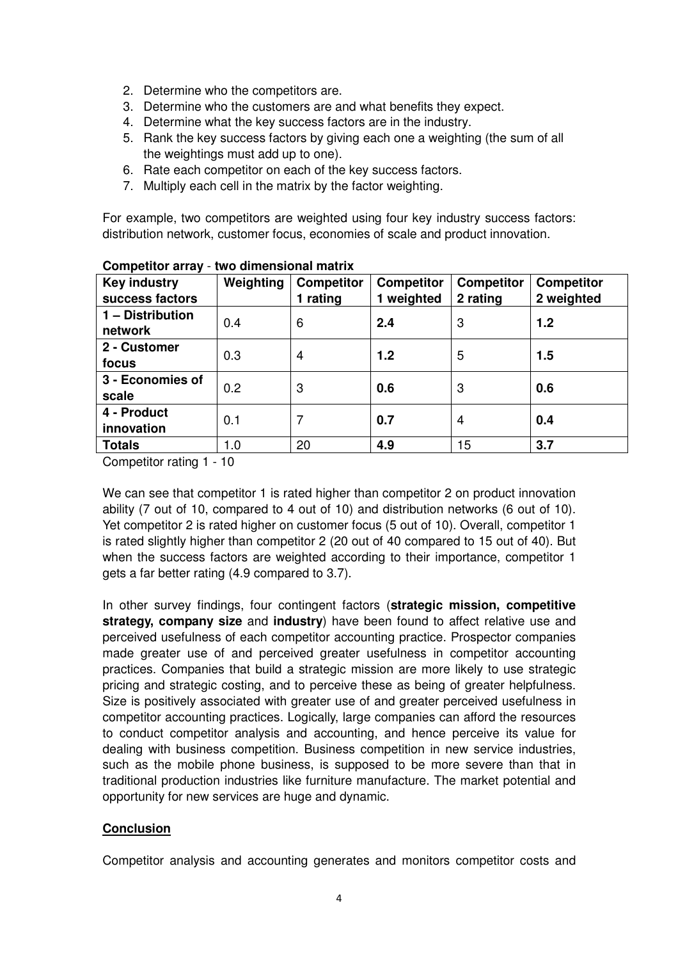- 2. Determine who the competitors are.
- 3. Determine who the customers are and what benefits they expect.
- 4. Determine what the key success factors are in the industry.
- 5. Rank the key success factors by giving each one a weighting (the sum of all the weightings must add up to one).
- 6. Rate each competitor on each of the key success factors.
- 7. Multiply each cell in the matrix by the factor weighting.

For example, two competitors are weighted using four key industry success factors: distribution network, customer focus, economies of scale and product innovation.

| <b>Key industry</b><br>success factors | Weighting | <b>Competitor</b><br>1 rating | <b>Competitor</b><br>1 weighted | <b>Competitor</b><br>2 rating | <b>Competitor</b><br>2 weighted |
|----------------------------------------|-----------|-------------------------------|---------------------------------|-------------------------------|---------------------------------|
| 1 - Distribution<br>network            | 0.4       | 6                             | 2.4                             | 3                             | 1.2                             |
| 2 - Customer<br>focus                  | 0.3       | 4                             | 1.2                             | 5                             | 1.5                             |
| 3 - Economies of<br>scale              | 0.2       | 3                             | 0.6                             | 3                             | 0.6                             |
| 4 - Product<br>innovation              | 0.1       |                               | 0.7                             | 4                             | 0.4                             |
| <b>Totals</b>                          | 1.0       | 20                            | 4.9                             | 15                            | 3.7                             |

**Competitor array** - **two dimensional matrix**

Competitor rating 1 - 10

We can see that competitor 1 is rated higher than competitor 2 on product innovation ability (7 out of 10, compared to 4 out of 10) and distribution networks (6 out of 10). Yet competitor 2 is rated higher on customer focus (5 out of 10). Overall, competitor 1 is rated slightly higher than competitor 2 (20 out of 40 compared to 15 out of 40). But when the success factors are weighted according to their importance, competitor 1 gets a far better rating (4.9 compared to 3.7).

In other survey findings, four contingent factors (**strategic mission, competitive strategy, company size** and **industry**) have been found to affect relative use and perceived usefulness of each competitor accounting practice. Prospector companies made greater use of and perceived greater usefulness in competitor accounting practices. Companies that build a strategic mission are more likely to use strategic pricing and strategic costing, and to perceive these as being of greater helpfulness. Size is positively associated with greater use of and greater perceived usefulness in competitor accounting practices. Logically, large companies can afford the resources to conduct competitor analysis and accounting, and hence perceive its value for dealing with business competition. Business competition in new service industries, such as the mobile phone business, is supposed to be more severe than that in traditional production industries like furniture manufacture. The market potential and opportunity for new services are huge and dynamic.

# **Conclusion**

Competitor analysis and accounting generates and monitors competitor costs and